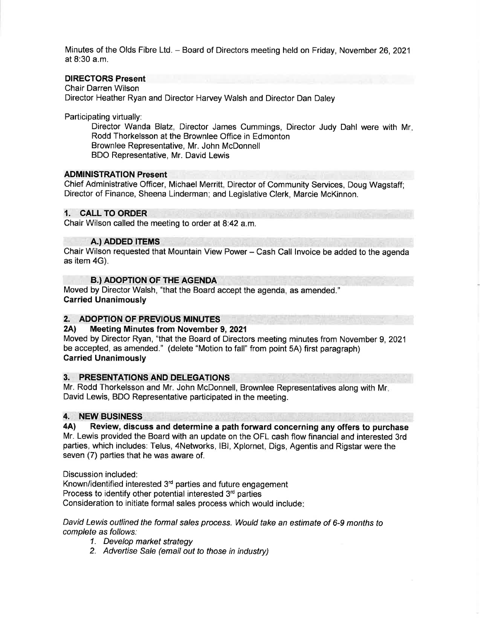Minutes of the Olds Fibre Ltd. - Board of Directors meeting held on Friday, November 26,2021 at 8:30 a.m.

# DIRECTORS Present

Chair Darren Wilson Director Heather Ryan and Director Harvey Walsh and Director Dan Daley

Participating virtually:

Director Wanda Blatz, Director James Cummings, Director Judy Dahl were with Mr Rodd Thorkelsson at the Brownlee Office in Edmonton Brownlee Representative, Mr. John McDonnell BDO Representative, Mr. David Lewis

#### ADMINISTRATION Present

Chief Administrative Officer, Michael Merritt, Director of Community Services, Doug Wagstaff; Director of Finance, Sheena Linderman; and Legislative Clerk, Marcie McKinnon.

#### 1. CALL TO ORDER

Chair Wilson called the meeting to order at 8:42 a.m.

#### A.) ADDED ITEMS

Chair Wilson requested that Mountain View Power - Cash Call lnvoice be added to the agenda as item 4G).

# **B.) ADOPTION OF THE AGENDA**

Moved by Director Walsh, "that the Board accept the agenda, as amended." Carried Unanimously

# 2. ADOPTION OF PREVIOUS MINUTES<br>2A) Meeting Minutes from November 9, 2021

Moved by Director Ryan, "that the Board of Directors meeting minutes from November 9,2021 be accepted, as amended." (delete "Motion to fall" from point 5A) first paragraph) Garried Unanimously

### 3. PRESENTATIONS AND DELEGATIONS

Mr. Rodd Thorkelsson and Mr. John McDonnell, Brownlee Representatives along with Mr David Lewis, BDO Representative participated in the meeting.

#### 4. NEW BUSINESS

4A) Review, discuss and determine a path forward concerning any offers to purchase Mr. Lewis provided the Board with an update on the OFL cash flow financial and interested 3rd parties, which includes: Telus, 4Networks, lBl, Xplornet, Digs, Agentis and Rigstar were the seven (7) parties that he was aware of.

Discussion included:

Known/identified interested 3'd parties and future engagement Process to identify other potential interested  $3<sup>rd</sup>$  parties Consideration to initiate formal sales process which would include

David Lewis outlined the formal sales process. Would take an estimate of 6-9 months to complete as follows:

- 1. Develop market strategy
- 2. Advertise Sale (email out to those in industry)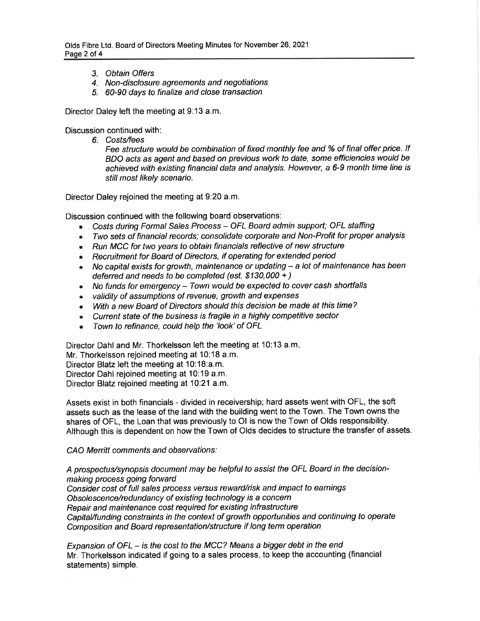- 3. Obtain Offers
- 4. Non-disclosure agreements and negotiations
- 5. 60-90 days to finalize and close transaction

Director Daley left the meeting at 9:13 a.m.

Discussion continued with:

6. Costs/fees

Fee structure would be combination of fixed monthly fee and % of final offer price. If BDO acts as agent and based on previous work to date, some efficiencies would be achieved with existing financial data and analysis. However, a 6-9 month time line is still most likely scenario.

Director Daley rejoined the meeting at 9:20 a.m.

Discussion continued with the following board observations:

- Costs during Formal Sales Process OFL Board admin support; OFL staffing
- Two sets of financial records; consolidate corporate and Non-Profit for proper analysis
- Run MCC for two years to obtain financials reflective of new structure
- **Recruitment for Board of Directors, if operating for extended period**
- $\bullet$  No capital exists for growth, maintenance or updating  $-$  a lot of maintenance has been deferred and needs to be completed (est. \$130,000 + )
- $\bullet$  No funds for emergency Town would be expected to cover cash shortfalls
- validity of assumptions of revenue, growth and expenses ò.
- With a new Board of Directors should this decision be made at this time?
- Current state of the business is fragile in a highly competitive sector
- Town to refinance, could help the'look'of OFL

Director Dahl and Mr. Thorkelsson left the meeting at 10:13 a.m

Mr. Thorkelsson rejoined meeting at 10:18 a.m.

Director Blatz left the meeting at 10:18:a.m.

Director Dahl rejoined meeting at 10:19 a.m.

Director Blatz rejoined meeting at 10:21 a.m.

Assets exist in both financials - divided in receivership; hard assets went with OFL, the soft assets such as the lease of the land with the building went to the Town. The Town owns the shares of OFL, the Loan that was previously to Ol is now the Town of Olds responsibility. Although this is dependent on how the Town of Olds decides to structure the transfer of assets.

### CAO Merritt comments and observations:

A prospectus/synopsis document may be helpful to assist the OFL Board in the decisionmaking process going forward Consider cost of full sales process versus reward/risk and impact to earnings Obsolescence/redundancy of existing technology is a concern Repair and maintenance cost required for existing infrastructure Capital/funding constraints in the context of growth opportunities and continuing to operate Composition and Board representation/structure if long term operation

Expansion of OFL – is the cost to the MCC? Means a bigger debt in the end Mr. Thorkelsson indicated if going to a sales process, to keep the accounting (financial statements) simple.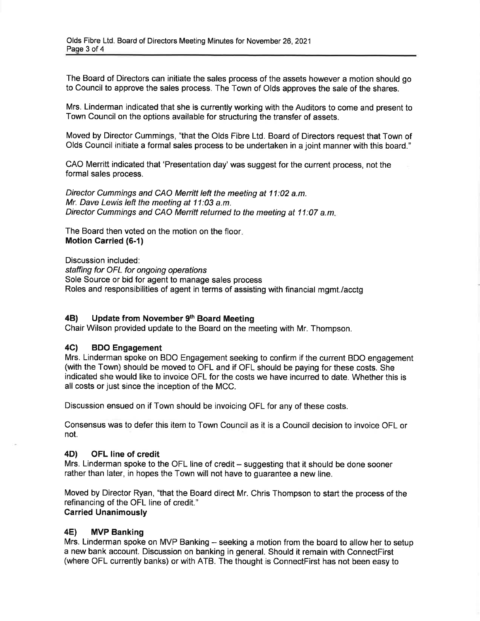The Board of Directors can initiate the sales process of the assets however a motion should go to Council to approve the sales process. The Town of Olds approves the sale of the shares.

Mrs. Linderman indicated that she is currently working with the Auditors to come and present to Town Council on the options available for structuring the transfer of assets.

Moved by Director Cummings, "that the Olds Fibre Ltd. Board of Directors request that Town of Olds Council initiate a formal sales process to be undertaken in a joint manner with this board."

CAO Merritt indicated that 'Presentation day' was suggest for the current process, not the formal sales process.

Director Cummings and CAO Merritt left the meeting at 11:02 a.m. Mr. Dave Lewis left the meeting at 11:03 a.m. Director Cummings and CAO Merritt returned to the meeting at 11:07 a.m.

The Board then voted on the motion on the floor Motion Carried (6-1)

Discussion included: staffing for OFL for ongoing operations Sole Source or bid for agent to manage sales process Roles and responsibilities of agent in terms of assisting with financial mgmt./acctg

### 4B) Update from November 9<sup>th</sup> Board Meeting

Chair Wilson provided update to the Board on the meeting with Mr. Thompson.

### 4C) BDO Engagement

Mrs. Linderman spoke on BDO Engagement seeking to confirm if the current BDO engagement (with the Town) should be moved to OFL and if OFL should be paying for these costs. She indicated she would like to invoice OFL for the costs we have incurred to date. Whether this is all costs or just since the inception of the MCC.

Discussion ensued on if Town should be invoicing OFL for any of these costs.

Consensus was to defer this item to Town Council as it is a Council decision to invoice OFL or not.

#### 4D) OFL line of credit

Mrs. Linderman spoke to the OFL line of credit - suggesting that it should be done sooner rather than later, in hopes the Town will not have to guarantee a new line.

Moved by Director Ryan, "that the Board direct Mr. Chris Thompson to start the process of the refinancing of the OFL line of credit." Carried Unanimously

### 4E) MVP Banking

Mrs. Linderman spoke on MVP Banking – seeking a motion from the board to allow her to setup a new bank account. Discussion on banking in general. Should it remain with ConnectFirst (where OFL currently banks) or with ATB. The thought is ConnectFirst has not been easy to